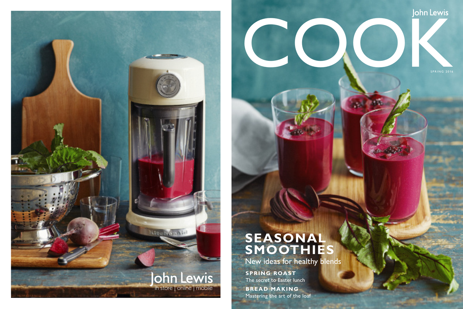

**SPRING ROAST** The secret to Easter lunch

**BREAD MAKING** Mastering the art of the loaf

# John Lewis<br>Cookie<br>Cookie<br>Cookie<br>Cookie<br>Cookie<br>Cookie<br>Cookie<br>Cookie<br>Cookie<br>Cookie<br>Cookie<br>Cookie<br>Cookie<br>Cookie<br>Cookie<br>Cookie<br>Cookie<br>Cookie<br>Cookie<br>Cookie<br>Cookie<br>Cookie<br>Cookie<br>Cookie<br>Cookie<br>Cookie<br>Cookie<br>Cookie<br>Cookie<br>Cookie<br>C

### **SEASONAL SMOOTHIES**

New ideas for healthy blends